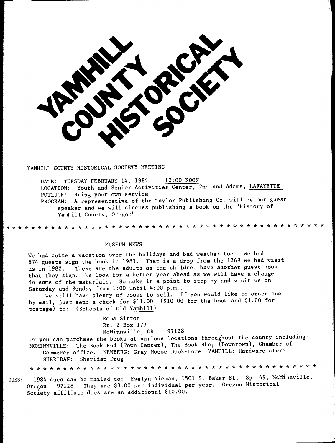

## YAMHILL COUNTY HISTORICAL SOCIETY MEETING

DATE: TUESDAY FEBRUARY 14, 1984 12:00 NOON LOCATION: Youth and Senior Activities Center, 2nd and Adams, LAFAYETTE POTLUCK: Bring your own service A representative of the Taylor Publishing Co. will be our guest PROGRAM: speaker and we will discuss publishing a book on the "History of Yamhill County, Oregon"

## MUSEUM NEWS

We had quite a vacation over the holidays and bad weather too. We had 874 guests sign the book in 1983. That is a drop from the 1269 we had visit These are the adults as the children have another guest book us in 1982. that they sign. We look for a better year ahead as we will have a change in some of the materials. So make it a point to stop by and visit us on Saturday and Sunday from 1:00 until 4:00 p.m..

We still have plenty of books to sell. If you would like to order one by mail, just send a check for \$11.00 (\$10.00 for the book and \$1.00 for postage) to: (Schools of Old Yamhill)

> Roma Sitton Rt. 2 Box 173 McMinnville, OR 97128

Or you can purchase the books at various locations throughout the county including: MCMINNVILLE: The Book End (Town Center), The Book Shop (Downtown), Chamber of Commerce office. NEWBERG: Gray Mouse Bookstore YAMHILL: Hardware store SHERIDAN: Sheridan Drug

**\* \* \* \* \* \* \* \* \* \* \* \* \*** 

1984 dues can be mailed to: Evelyn Nieman, 1501 S. Baker St. Sp. 49, McMinnville, DUES: 97128. They are \$3.00 per individual per year. Oregon Historical Oregon Society affiliate dues are an additional \$10.00.